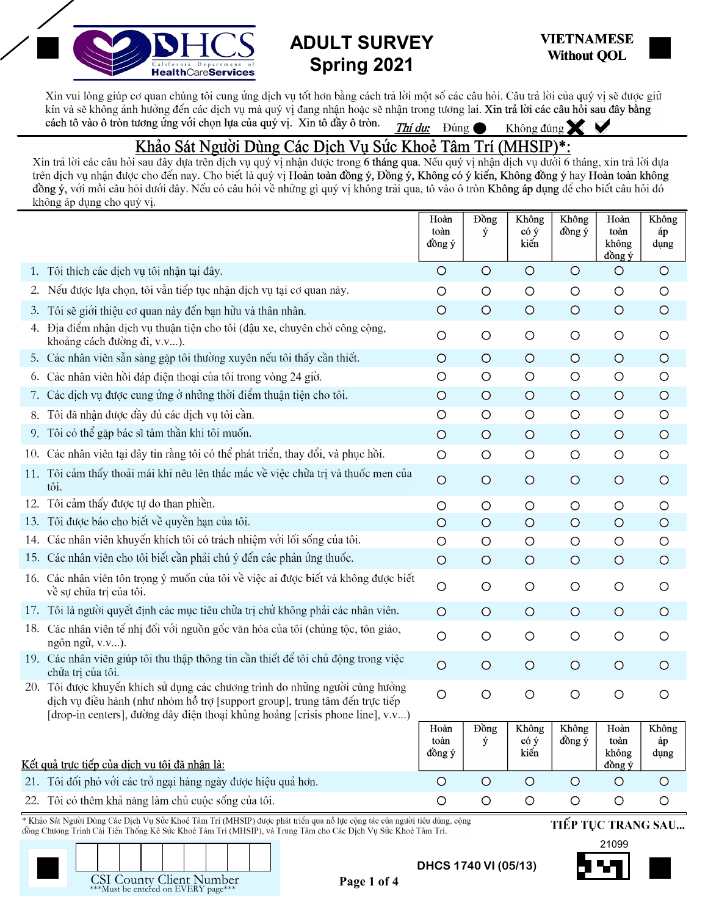

## **ADULT SURVEY Spring 2021**



Xin vui lòng giúp cơ quan chúng tôi cung ứng dịch vụ tốt hơn bằng cách trả lời một số các câu hỏi. Câu trả lời của quý vị sẽ được giữ kín và sẽ không ảnh hưởng đến các dịch vụ mà quý vị đang nhận hoặc sẽ nhận trong tương lai. Xin trả lời các câu hỏi sau đây bằng<br>cách tô vào ô tròn tương ứng với chọn lựa của quý vị. Xin tô đầy ô tròn. Thí dụ: Dúng (Không cách tô vào ô tròn tương ứng với chọn lựa của quý vị. Xin tô đầy ô tròn. Thí du: Đúng

## Khảo Sát Người Dùng Các Dịch Vụ Sức Khoẻ Tâm Trí (MHSIP)\*:

Xin trả lời các câu hỏi sau đây dựa trên dịch vụ quý vị nhận được trong 6 tháng qua. Nếu quý vị nhận dịch vụ dưới 6 tháng, xin trả lời dựa trên dịch vụ nhận được cho đến nay. Cho biết là quý vị Hoàn toàn đồng ý, Đồng ý, Không có ý kiến, Không đồng ý hay Hoàn toàn không đồng ý, với mỗi câu hỏi dưới đây. Nếu có câu hỏi về những gì quý vị không trải qua, tô vào ô tròn Không áp dụng để cho biết câu hỏi đó không áp dụng cho quý vị.

|     |                                                                                                                                                                                                                                          | Hoàn<br>toàn<br>đồng ý | <b>D</b> ong<br>ý | Không<br>có ý<br>kiến | Không<br>đồng ý | Hoàn<br>toàn<br>không<br>đồng ý | Không<br>áp<br>dụng |  |  |
|-----|------------------------------------------------------------------------------------------------------------------------------------------------------------------------------------------------------------------------------------------|------------------------|-------------------|-----------------------|-----------------|---------------------------------|---------------------|--|--|
| 1.  | Tôi thích các dịch vụ tôi nhận tại đây.                                                                                                                                                                                                  | $\circ$                | $\circ$           | $\circ$               | $\circ$         | $\circ$                         | $\circ$             |  |  |
| 2.  | Nếu được lựa chọn, tôi vẫn tiếp tục nhận dịch vụ tại cơ quan này.                                                                                                                                                                        | $\circ$                | $\circ$           | $\circ$               | $\circ$         | $\circ$                         | $\circ$             |  |  |
| 3.  | Tôi sẽ giới thiệu cơ quan này đến bạn hữu và thân nhân.                                                                                                                                                                                  | $\circ$                | $\circ$           | $\circ$               | $\circ$         | $\circ$                         | $\circ$             |  |  |
| 4.  | Địa điểm nhận dịch vụ thuận tiện cho tôi (đậu xe, chuyên chở công cộng,<br>khoảng cách đường đi, v.v).                                                                                                                                   | $\circ$                | $\circ$           | $\circ$               | $\circ$         | $\bigcirc$                      | $\circ$             |  |  |
|     | 5. Các nhân viên sẵn sàng gặp tôi thường xuyên nếu tôi thấy cần thiết.                                                                                                                                                                   | $\circ$                | $\circ$           | $\circ$               | $\circ$         | $\circ$                         | $\circ$             |  |  |
| 6.  | Các nhân viên hồi đáp điện thoại của tôi trong vòng 24 giờ.                                                                                                                                                                              | $\circ$                | $\circ$           | $\circ$               | $\bigcirc$      | $\circ$                         | $\circ$             |  |  |
| 7.  | Các dịch vụ được cung ứng ở những thời điểm thuận tiện cho tôi.                                                                                                                                                                          | $\circ$                | $\circ$           | $\circ$               | $\circ$         | $\circ$                         | $\circ$             |  |  |
|     | 8. Tôi đã nhận được đầy đủ các dịch vụ tôi cần.                                                                                                                                                                                          | $\circ$                | $\circ$           | $\circ$               | $\circ$         | $\circ$                         | $\circ$             |  |  |
|     | 9. Tôi có thể gặp bác sĩ tâm thần khi tôi muốn.                                                                                                                                                                                          | $\circ$                | $\circ$           | $\circ$               | $\circ$         | $\circ$                         | $\circ$             |  |  |
|     | 10. Các nhân viên tại đây tin rằng tôi có thể phát triển, thay đổi, và phục hồi.                                                                                                                                                         | $\circ$                | $\circ$           | $\circ$               | $\circ$         | $\circ$                         | $\circ$             |  |  |
|     | 11. Tôi cảm thấy thoải mái khi nêu lên thắc mắc về việc chữa trị và thuốc men của<br>tôi.                                                                                                                                                | $\circ$                | $\circ$           | $\circ$               | $\circ$         | $\circ$                         | $\circ$             |  |  |
| 12. | Tôi cảm thấy được tự do than phiền.                                                                                                                                                                                                      | $\circ$                | $\circ$           | $\circ$               | $\circ$         | $\circ$                         | $\circ$             |  |  |
|     | 13. Tôi được báo cho biết về quyền hạn của tôi.                                                                                                                                                                                          | $\circ$                | $\circ$           | $\circ$               | $\circ$         | $\circ$                         | $\circ$             |  |  |
|     | 14. Các nhân viên khuyến khích tôi có trách nhiệm với lối sống của tôi.                                                                                                                                                                  | $\circ$                | $\circ$           | $\circ$               | $\circ$         | $\circ$                         | $\circ$             |  |  |
|     | 15. Các nhân viên cho tôi biết cần phải chú ý đến các phản ứng thuốc.                                                                                                                                                                    | $\circ$                | $\circ$           | $\circ$               | $\circ$         | $\circ$                         | $\circ$             |  |  |
|     | 16. Các nhân viên tôn trọng ý muốn của tôi về việc ai được biết và không được biết<br>về sự chữa trị của tôi.                                                                                                                            | $\circ$                | $\circ$           | $\circ$               | $\circ$         | $\circ$                         | $\circ$             |  |  |
|     | 17. Tôi là người quyết định các mục tiêu chữa trị chứ không phải các nhân viên.                                                                                                                                                          | $\circ$                | $\circ$           | $\circ$               | $\circ$         | $\circ$                         | $\circ$             |  |  |
|     | 18. Các nhân viên tế nhị đối với nguồn gốc văn hóa của tôi (chủng tộc, tôn giáo,<br>ngôn ngữ, v.v).                                                                                                                                      | $\circ$                | $\circ$           | $\circ$               | $\circ$         | $\circ$                         | $\circ$             |  |  |
|     | 19. Các nhân viên giúp tôi thu thập thông tin cần thiết để tôi chủ động trong việc<br>chữa trị của tôi.                                                                                                                                  | $\circ$                | $\circ$           | $\circ$               | $\circ$         | $\circ$                         | $\circ$             |  |  |
| 20. | Tôi được khuyến khích sử dụng các chương trình do những người cùng hưởng<br>dịch vụ điều hành (như nhóm hỗ trợ [support group], trung tâm đến trực tiếp<br>[drop-in centers], đường dây điện thoại khủng hoảng [crisis phone line], v.v) | $\circ$                | $\circ$           | $\circ$               | $\circ$         | $\circ$                         | $\circ$             |  |  |
|     | <u>Kết quả trực tiếp của dịch vụ tôi đã nhân là:</u>                                                                                                                                                                                     | Hoàn<br>toàn<br>đồng ý | <b>D</b> ong<br>ý | Không<br>có ý<br>kiến | Không<br>đồng ý | Hoàn<br>toàn<br>không<br>đồng ý | Không<br>áp<br>dung |  |  |
|     | 21. Tôi đối phó với các trở ngại hàng ngày được hiệu quả hơn.                                                                                                                                                                            | $\circ$                | $\circ$           | $\circ$               | $\circ$         | $\circ$                         | $\circ$             |  |  |
|     | 22. Tôi có thêm khả năng làm chủ cuộc sống của tôi.                                                                                                                                                                                      | $\circ$                | $\circ$           | $\circ$               | $\circ$         | $\circ$                         | $\circ$             |  |  |
|     | * Khảo Sát Người Dùng Các Dịch Vụ Sức Khoẻ Tâm Trí (MHSIP) được phát triển qua nỗ lực cộng tác của người tiêu dùng, cộng<br>TIẾP TỤC TRANG SAU                                                                                           |                        |                   |                       |                 |                                 |                     |  |  |
|     | đồng Chương Trình Cải Tiến Thống Kê Sức Khoẻ Tâm Trí (MHSIP), và Trung Tâm cho Các Dịch Vụ Sức Khoẻ Tâm Trí.                                                                                                                             |                        |                   |                       |                 | 21099                           |                     |  |  |
|     |                                                                                                                                                                                                                                          |                        |                   |                       |                 |                                 |                     |  |  |

**Page 1 of 4**



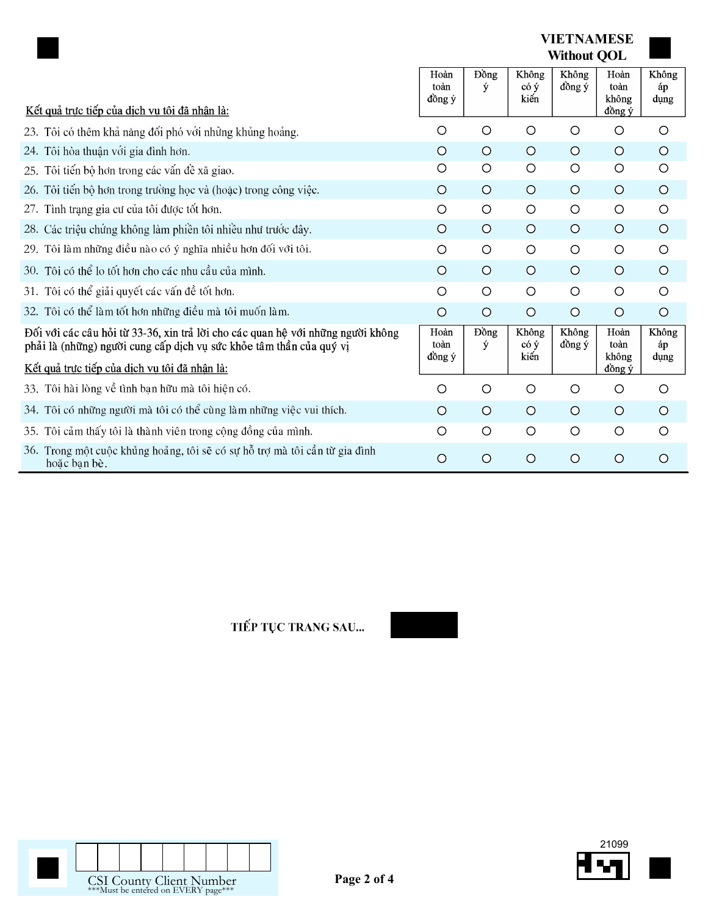|                                                                                                                                                        |                        |                   | <b>VIETNAMESE</b><br><b>Without QOL</b> |                 |                                 |                     |
|--------------------------------------------------------------------------------------------------------------------------------------------------------|------------------------|-------------------|-----------------------------------------|-----------------|---------------------------------|---------------------|
| Kết quả trực tiếp của dịch vụ tôi đã nhận là:                                                                                                          | Hoàn<br>toàn<br>đồng ý | Đồng<br>ý         | Không<br>$\cot \theta$<br>kiến          | Không<br>đồng ý | Hoàn<br>toàn<br>không<br>đồng ý | Không<br>áp<br>dụng |
| 23. Tôi có thêm khả năng đối phó với những khủng hoảng.                                                                                                | $\circ$                | $\circ$           | $\circ$                                 | O               | $\circ$                         | $\circ$             |
| 24. Tôi hòa thuận với gia đình hơn.                                                                                                                    | $\circ$                | $\circ$           | $\circ$                                 | $\circ$         | $\circ$                         | $\circ$             |
| Tôi tiến bộ hơn trong các vấn đề xã giao.<br>25.                                                                                                       | O                      | O                 | $\circ$                                 | O               | $\circ$                         | $\circ$             |
| 26. Tôi tiến bộ hơn trong trường học và (hoặc) trong công việc.                                                                                        | $\circ$                | $\circ$           | $\circ$                                 | $\circ$         | $\circ$                         | $\circ$             |
| Tình trạng gia cư của tôi được tốt hơn.<br>27.                                                                                                         | $\circ$                | $\circ$           | $\circ$                                 | $\circ$         | $\circ$                         | $\circ$             |
| 28. Các triệu chứng không làm phiền tôi nhiều như trước đây.                                                                                           | $\circ$                | $\circ$           | $\circ$                                 | $\circ$         | $\circ$                         | $\circ$             |
| 29. Tôi làm những điều nào có ý nghĩa nhiều hơn đối với tôi.                                                                                           | $\circ$                | $\circ$           | $\circ$                                 | $\circ$         | $\circ$                         | $\circ$             |
| 30. Tôi có thể lo tốt hơn cho các nhu cầu của mình.                                                                                                    | $\circ$                | $\circ$           | $\circ$                                 | $\circ$         | $\circ$                         | $\circ$             |
| 31. Tôi có thể giải quyết các vấn đề tốt hơn.                                                                                                          | $\circ$                | $\circ$           | $\circ$                                 | $\circ$         | $\circ$                         | $\circ$             |
| 32. Tôi có thể làm tốt hơn những điều mà tôi muốn làm.                                                                                                 | $\circ$                | $\circ$           | $\circ$                                 | $\circ$         | $\circ$                         | $\circ$             |
| Đối với các câu hỏi từ 33-36, xin trả lời cho các quan hệ với những người không<br>phải là (những) người cung cấp dịch vụ sức khỏe tâm thần của quý vị | Hoàn<br>toàn<br>đồng ý | <b>D</b> ong<br>ý | Không<br>$\cot \theta$<br>kiến          | Không<br>đồng ý | Hoàn<br>toàn<br>không           | Không<br>áp<br>dung |
| Kết quả trực tiếp của dịch vụ tôi đã nhận là:                                                                                                          |                        |                   |                                         |                 | đồng ý                          |                     |
| 33. Tôi hài lòng về tình bạn hữu mà tôi hiện có.                                                                                                       | O                      | $\circ$           | O                                       | O               | O                               | $\circ$             |
| 34. Tôi có những người mà tôi có thể cùng làm những việc vui thích.                                                                                    | $\circ$                | $\circ$           | $\circ$                                 | $\circ$         | $\circ$                         | $\circ$             |
| 35. Tôi cảm thấy tôi là thành viên trong cộng đồng của mình.                                                                                           | O                      | $\circ$           | $\circ$                                 | $\circ$         | $\circ$                         | $\circ$             |
| 36. Trong một cuộc khủng hoảng, tôi sẽ có sự hỗ trợ mà tôi cần từ gia đình<br>hoặc bạn bè.                                                             | $\circ$                | $\circ$           | $\circ$                                 | $\circ$         | $\circ$                         | $\circ$             |

TIẾP TỤC TRANG SAU...





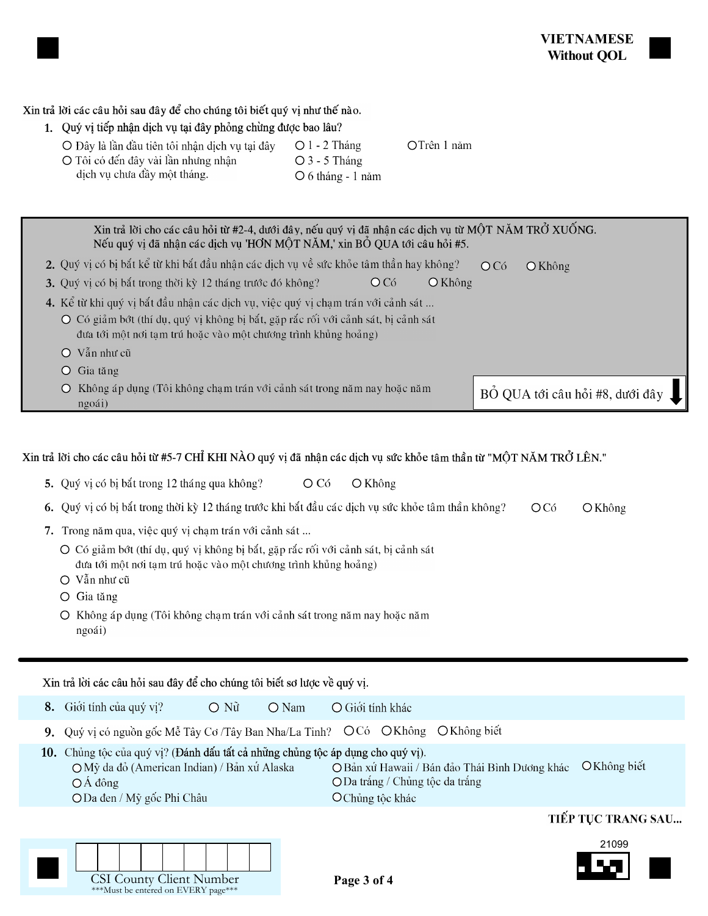Xin trả lời các câu hỏi sau đây để cho chúng tôi biết quý vị như thế nào.

1. Quý vị tiếp nhận dịch vụ tại đây phỏng chừng được bao lâu?

O Đây là lần đầu tiên tôi nhận dịch vụ tại đây O Tôi có đến đây vài lần nhưng nhận dịch vụ chưa đầy một tháng.

 $O$  3 - 5 Tháng

OTrên 1 năm

| $\bigcirc$ 6 tháng - 1 năm |  |
|----------------------------|--|
|----------------------------|--|

 $O1 - 2$  Tháng

| Xin trả lời cho các câu hỏi từ #2-4, dưới đây, nếu quý vị đã nhận các dịch vụ từ MỘT NĂM TRỞ XUỐNG.<br>Nếu quý vị đã nhận các dịch vụ 'HƠN MỘT NĂM,' xin BỔ QUA tới câu hỏi #5. |                                 |  |  |  |  |  |  |  |  |  |
|---------------------------------------------------------------------------------------------------------------------------------------------------------------------------------|---------------------------------|--|--|--|--|--|--|--|--|--|
| 2. Quý vị có bị bắt kể từ khi bắt đầu nhận các dịch vụ về sức khỏe tâm thần hay không?                                                                                          | OCó<br>O Không                  |  |  |  |  |  |  |  |  |  |
| 3. Quý vị có bị bắt trong thời kỳ 12 tháng trước đó không?<br>$\bigcirc$ Không<br>OCó                                                                                           |                                 |  |  |  |  |  |  |  |  |  |
| 4. Kể từ khi quý vị bắt đầu nhận các dịch vụ, việc quý vị chạm trán với cảnh sát                                                                                                |                                 |  |  |  |  |  |  |  |  |  |
| O Có giảm bớt (thí dụ, quý vị không bị bắt, gặp rắc rối với cảnh sát, bị cảnh sát<br>đưa tới một nơi tạm trú hoặc vào một chương trình khủng hoảng)                             |                                 |  |  |  |  |  |  |  |  |  |
| Vẫn như cũ<br>$\left( \right)$                                                                                                                                                  |                                 |  |  |  |  |  |  |  |  |  |
| Gia tăng<br>Ő                                                                                                                                                                   |                                 |  |  |  |  |  |  |  |  |  |
| Không áp dụng (Tôi không chạm trán với cảnh sát trong năm nay hoặc năm<br>ngoái)                                                                                                | BỔ QUA tới câu hỏi #8, dưới đây |  |  |  |  |  |  |  |  |  |

Xin trả lời cho các câu hỏi từ #5-7 CHI KHI NÀO quý vị đã nhận các dịch vụ sức khỏe tâm thần từ "MỘT NĂM TRỞ LÊN."

|  | 5. Quý vị có bị bắt trong 12 tháng qua không? |  |  | $\bigcirc$ Có | ○ Không |
|--|-----------------------------------------------|--|--|---------------|---------|
|--|-----------------------------------------------|--|--|---------------|---------|

|  |  |  | 6. Quý vị có bị bắt trong thời kỳ 12 tháng trước khi bắt đầu các dịch vụ sức khỏe tâm thần không? OCó OKhông |  |  |
|--|--|--|--------------------------------------------------------------------------------------------------------------|--|--|
|--|--|--|--------------------------------------------------------------------------------------------------------------|--|--|

- 7. Trong năm qua, việc quý vị chạm trán với cảnh sát ...
	- O Có giảm bớt (thí dụ, quý vị không bị bắt, gặp rắc rối với cảnh sát, bị cảnh sát đưa tới một nơi tạm trú hoặc vào một chương trình khủng hoảng)
	- O Vẫn như cũ
	- $O$  Gia tăng
	- O Không áp dụng (Tôi không chạm trán với cảnh sát trong năm nay hoặc năm ngoái)

Xin trả lời các câu hỏi sau đây để cho chúng tôi biết sơ lược về quý vị.

| 8. | Giới tính của quý vị?                                                                                                                                                                                                                                                                                        | $\bigcirc$ N $\tilde{u}$ | $\bigcirc$ Nam | $\bigcirc$ Giới tính khác |  |  |                     |  |  |
|----|--------------------------------------------------------------------------------------------------------------------------------------------------------------------------------------------------------------------------------------------------------------------------------------------------------------|--------------------------|----------------|---------------------------|--|--|---------------------|--|--|
|    | 9. Quý vị có nguồn gốc Mễ Tây Cơ Tây Ban Nha/La Tinh? OCó OKhông OKhông biết                                                                                                                                                                                                                                 |                          |                |                           |  |  |                     |  |  |
|    | 10. Chủng tộc của quý vị? (Đánh dấu tất cả những chủng tộc áp dụng cho quý vị).<br>O Không biết<br>O Bản xứ Hawaii / Bán đảo Thái Bình Dương khác<br>O Mỹ da đỏ (American Indian) / Bản xứ Alaska<br>ODa trắng / Chủng tộc da trắng<br>$\overline{OA}$ dông<br>ODa đen / Mỹ gốc Phi Châu<br>O Chủng tộc khác |                          |                |                           |  |  |                     |  |  |
|    |                                                                                                                                                                                                                                                                                                              |                          |                |                           |  |  | THẾD THƠ TO ANG CAH |  |  |

## TIEP TỤC TRANG SAU...



| <b>CSI County Client Number</b><br>$***$ Must be entered on $\rm EVEDV$ perc $**$ |  |  |  |  |  |  |  |  |
|-----------------------------------------------------------------------------------|--|--|--|--|--|--|--|--|